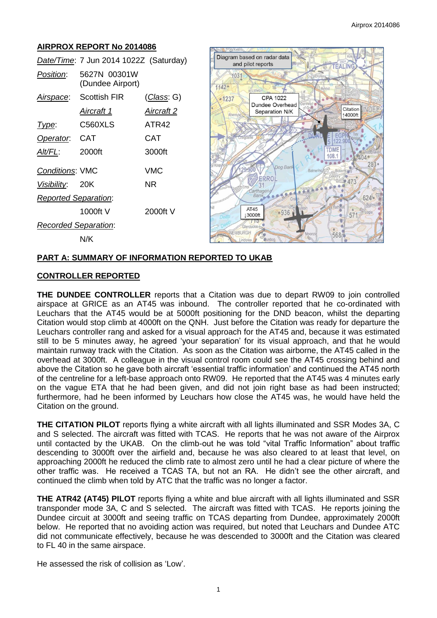# **AIRPROX REPORT No 2014086**

|                             | Date/Time: 7 Jun 2014 1022Z (Saturday) |            |  |
|-----------------------------|----------------------------------------|------------|--|
| Position:                   | 5627N 00301W<br>(Dundee Airport)       |            |  |
|                             | Airspace: Scottish FIR                 | (Class: G) |  |
|                             | Aircraft 1                             | Aircraft 2 |  |
| Type:                       | C560XLS                                | ATR42      |  |
| Operator. CAT               |                                        | CAT        |  |
| AIt/FL:                     | 2000ft                                 | 3000ft     |  |
| <b>Conditions: VMC</b>      |                                        | VMC        |  |
| <i>Visibility</i> :         | 20K                                    | NR         |  |
| <b>Reported Separation:</b> |                                        |            |  |
|                             | 1000ft V                               | $2000ft$ V |  |
| <b>Recorded Separation:</b> |                                        |            |  |
|                             | N/K                                    |            |  |



# **PART A: SUMMARY OF INFORMATION REPORTED TO UKAB**

# **CONTROLLER REPORTED**

**THE DUNDEE CONTROLLER** reports that a Citation was due to depart RW09 to join controlled airspace at GRICE as an AT45 was inbound. The controller reported that he co-ordinated with Leuchars that the AT45 would be at 5000ft positioning for the DND beacon, whilst the departing Citation would stop climb at 4000ft on the QNH. Just before the Citation was ready for departure the Leuchars controller rang and asked for a visual approach for the AT45 and, because it was estimated still to be 5 minutes away, he agreed 'your separation' for its visual approach, and that he would maintain runway track with the Citation. As soon as the Citation was airborne, the AT45 called in the overhead at 3000ft. A colleague in the visual control room could see the AT45 crossing behind and above the Citation so he gave both aircraft 'essential traffic information' and continued the AT45 north of the centreline for a left-base approach onto RW09. He reported that the AT45 was 4 minutes early on the vague ETA that he had been given, and did not join right base as had been instructed; furthermore, had he been informed by Leuchars how close the AT45 was, he would have held the Citation on the ground.

**THE CITATION PILOT** reports flying a white aircraft with all lights illuminated and SSR Modes 3A, C and S selected. The aircraft was fitted with TCAS. He reports that he was not aware of the Airprox until contacted by the UKAB. On the climb-out he was told "vital Traffic Information" about traffic descending to 3000ft over the airfield and, because he was also cleared to at least that level, on approaching 2000ft he reduced the climb rate to almost zero until he had a clear picture of where the other traffic was. He received a TCAS TA, but not an RA. He didn't see the other aircraft, and continued the climb when told by ATC that the traffic was no longer a factor.

**THE ATR42 (AT45) PILOT** reports flying a white and blue aircraft with all lights illuminated and SSR transponder mode 3A, C and S selected. The aircraft was fitted with TCAS. He reports joining the Dundee circuit at 3000ft and seeing traffic on TCAS departing from Dundee, approximately 2000ft below. He reported that no avoiding action was required, but noted that Leuchars and Dundee ATC did not communicate effectively, because he was descended to 3000ft and the Citation was cleared to FL 40 in the same airspace.

He assessed the risk of collision as 'Low'.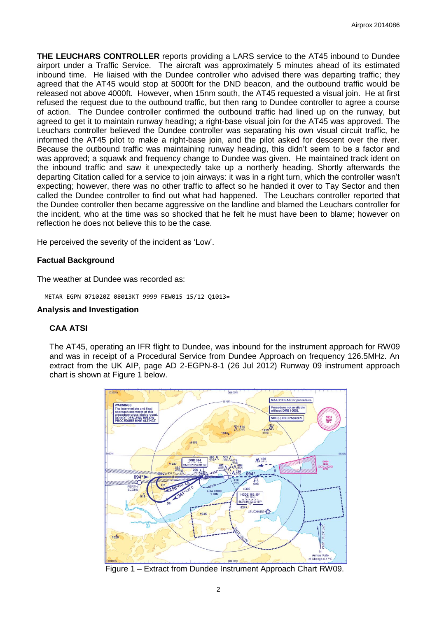**THE LEUCHARS CONTROLLER** reports providing a LARS service to the AT45 inbound to Dundee airport under a Traffic Service. The aircraft was approximately 5 minutes ahead of its estimated inbound time. He liaised with the Dundee controller who advised there was departing traffic; they agreed that the AT45 would stop at 5000ft for the DND beacon, and the outbound traffic would be released not above 4000ft. However, when 15nm south, the AT45 requested a visual join. He at first refused the request due to the outbound traffic, but then rang to Dundee controller to agree a course of action. The Dundee controller confirmed the outbound traffic had lined up on the runway, but agreed to get it to maintain runway heading; a right-base visual join for the AT45 was approved. The Leuchars controller believed the Dundee controller was separating his own visual circuit traffic, he informed the AT45 pilot to make a right-base join, and the pilot asked for descent over the river. Because the outbound traffic was maintaining runway heading, this didn't seem to be a factor and was approved; a squawk and frequency change to Dundee was given. He maintained track ident on the inbound traffic and saw it unexpectedly take up a northerly heading. Shortly afterwards the departing Citation called for a service to join airways: it was in a right turn, which the controller wasn't expecting; however, there was no other traffic to affect so he handed it over to Tay Sector and then called the Dundee controller to find out what had happened. The Leuchars controller reported that the Dundee controller then became aggressive on the landline and blamed the Leuchars controller for the incident, who at the time was so shocked that he felt he must have been to blame; however on reflection he does not believe this to be the case.

He perceived the severity of the incident as 'Low'.

# **Factual Background**

The weather at Dundee was recorded as:

METAR EGPN 071020Z 08013KT 9999 FEW015 15/12 Q1013=

#### **Analysis and Investigation**

# **CAA ATSI**

The AT45, operating an IFR flight to Dundee, was inbound for the instrument approach for RW09 and was in receipt of a Procedural Service from Dundee Approach on frequency 126.5MHz. An extract from the UK AIP, page AD 2-EGPN-8-1 (26 Jul 2012) Runway 09 instrument approach chart is shown at Figure 1 below.



Figure 1 – Extract from Dundee Instrument Approach Chart RW09.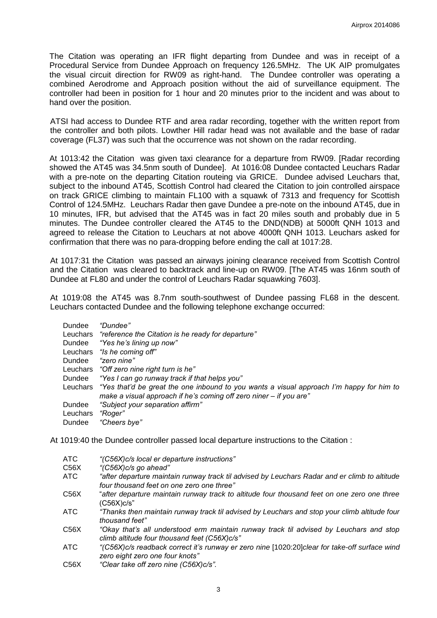The Citation was operating an IFR flight departing from Dundee and was in receipt of a Procedural Service from Dundee Approach on frequency 126.5MHz. The UK AIP promulgates the visual circuit direction for RW09 as right-hand. The Dundee controller was operating a combined Aerodrome and Approach position without the aid of surveillance equipment. The controller had been in position for 1 hour and 20 minutes prior to the incident and was about to hand over the position.

ATSI had access to Dundee RTF and area radar recording, together with the written report from the controller and both pilots. Lowther Hill radar head was not available and the base of radar coverage (FL37) was such that the occurrence was not shown on the radar recording.

At 1013:42 the Citation was given taxi clearance for a departure from RW09. [Radar recording showed the AT45 was 34.5nm south of Dundee]. At 1016:08 Dundee contacted Leuchars Radar with a pre-note on the departing Citation routeing via GRICE. Dundee advised Leuchars that, subject to the inbound AT45, Scottish Control had cleared the Citation to join controlled airspace on track GRICE climbing to maintain FL100 with a squawk of 7313 and frequency for Scottish Control of 124.5MHz. Leuchars Radar then gave Dundee a pre-note on the inbound AT45, due in 10 minutes, IFR, but advised that the AT45 was in fact 20 miles south and probably due in 5 minutes. The Dundee controller cleared the AT45 to the DND(NDB) at 5000ft QNH 1013 and agreed to release the Citation to Leuchars at not above 4000ft QNH 1013. Leuchars asked for confirmation that there was no para-dropping before ending the call at 1017:28.

At 1017:31 the Citation was passed an airways joining clearance received from Scottish Control and the Citation was cleared to backtrack and line-up on RW09. [The AT45 was 16nm south of Dundee at FL80 and under the control of Leuchars Radar squawking 7603].

At 1019:08 the AT45 was 8.7nm south-southwest of Dundee passing FL68 in the descent. Leuchars contacted Dundee and the following telephone exchange occurred:

| Dundee   | "Dundee"                                                                                          |
|----------|---------------------------------------------------------------------------------------------------|
|          | Leuchars "reference the Citation is he ready for departure"                                       |
| Dundee   | "Yes he's lining up now"                                                                          |
|          | Leuchars "Is he coming off"                                                                       |
| Dundee   | "zero nine"                                                                                       |
|          | Leuchars "Off zero nine right turn is he"                                                         |
| Dundee   | "Yes I can go runway track if that helps you"                                                     |
|          | Leuchars "Yes that'd be great the one inbound to you wants a visual approach I'm happy for him to |
|          | make a visual approach if he's coming off zero niner – if you are"                                |
| Dundee   | "Subject your separation affirm"                                                                  |
| Leuchars | "Roger"                                                                                           |
| Dundee   | "Cheers bye"                                                                                      |

At 1019:40 the Dundee controller passed local departure instructions to the Citation :

| <b>ATC</b>        | "(C56X)c/s local er departure instructions"                                                                                            |
|-------------------|----------------------------------------------------------------------------------------------------------------------------------------|
| C56X              | "(C56X)c/s go ahead"                                                                                                                   |
| ATC               | "after departure maintain runway track til advised by Leuchars Radar and er climb to altitude                                          |
|                   | four thousand feet on one zero one three"                                                                                              |
| C <sub>56</sub> X | "after departure maintain runway track to altitude four thousand feet on one zero one three<br>(C56X)c/s"                              |
| ATC               | "Thanks then maintain runway track til advised by Leuchars and stop your climb altitude four                                           |
|                   | thousand feet"                                                                                                                         |
| C56X              | "Okay that's all understood erm maintain runway track til advised by Leuchars and stop<br>climb altitude four thousand feet (C56X)c/s" |
| ATC               | "(C56X)c/s readback correct it's runway er zero nine [1020:20]clear for take-off surface wind<br>zero eight zero one four knots"       |
| C56X              | "Clear take off zero nine (C56X)c/s".                                                                                                  |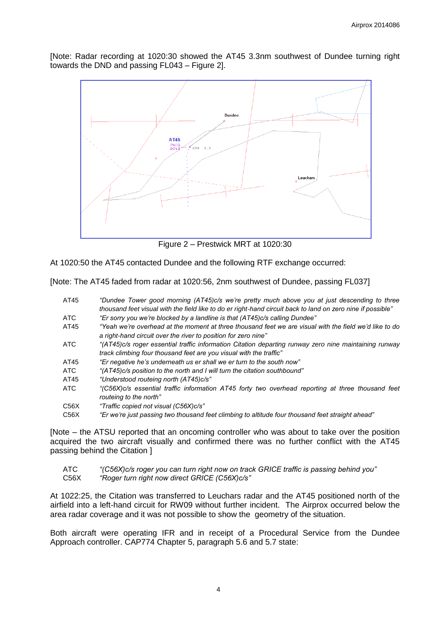[Note: Radar recording at 1020:30 showed the AT45 3.3nm southwest of Dundee turning right towards the DND and passing FL043 – Figure 2].



Figure 2 – Prestwick MRT at 1020:30

At 1020:50 the AT45 contacted Dundee and the following RTF exchange occurred:

[Note: The AT45 faded from radar at 1020:56, 2nm southwest of Dundee, passing FL037]

| AT45              | "Dundee Tower good morning (AT45)c/s we're pretty much above you at just descending to three<br>thousand feet visual with the field like to do er right-hand circuit back to land on zero nine if possible" |
|-------------------|-------------------------------------------------------------------------------------------------------------------------------------------------------------------------------------------------------------|
| ATC               | "Er sorry you we're blocked by a landline is that (AT45)c/s calling Dundee"                                                                                                                                 |
| AT45              | "Yeah we're overhead at the moment at three thousand feet we are visual with the field we'd like to do                                                                                                      |
|                   | a right-hand circuit over the river to position for zero nine"                                                                                                                                              |
| ATC               | "(AT45)c/s roger essential traffic information Citation departing runway zero nine maintaining runway                                                                                                       |
|                   | track climbing four thousand feet are you visual with the traffic"                                                                                                                                          |
| AT45              | "Er negative he's underneath us er shall we er turn to the south now"                                                                                                                                       |
| ATC               | "(AT45)c/s position to the north and I will turn the citation southbound"                                                                                                                                   |
| AT45              | "Understood routeing north (AT45)c/s"                                                                                                                                                                       |
| ATC               | "(C56X)c/s essential traffic information AT45 forty two overhead reporting at three thousand feet                                                                                                           |
|                   | routeing to the north"                                                                                                                                                                                      |
| C <sub>56</sub> X | "Traffic copied not visual (C56X)c/s"                                                                                                                                                                       |
| C <sub>56</sub> X | "Er we're just passing two thousand feet climbing to altitude four thousand feet straight ahead"                                                                                                            |

[Note – the ATSU reported that an oncoming controller who was about to take over the position acquired the two aircraft visually and confirmed there was no further conflict with the AT45 passing behind the Citation ]

| ATC  | "(C56X)c/s roger you can turn right now on track GRICE traffic is passing behind you" |
|------|---------------------------------------------------------------------------------------|
| C56X | "Roger turn right now direct GRICE (C56X)c/s"                                         |

At 1022:25, the Citation was transferred to Leuchars radar and the AT45 positioned north of the airfield into a left-hand circuit for RW09 without further incident. The Airprox occurred below the area radar coverage and it was not possible to show the geometry of the situation.

Both aircraft were operating IFR and in receipt of a Procedural Service from the Dundee Approach controller. CAP774 Chapter 5, paragraph 5.6 and 5.7 state: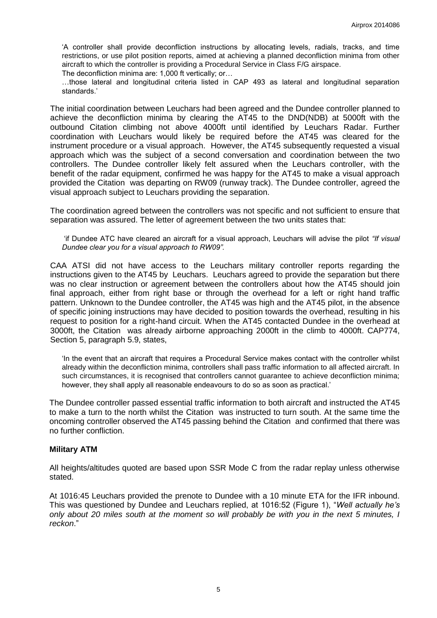'A controller shall provide deconfliction instructions by allocating levels, radials, tracks, and time restrictions, or use pilot position reports, aimed at achieving a planned deconfliction minima from other aircraft to which the controller is providing a Procedural Service in Class F/G airspace.

The deconfliction minima are: 1,000 ft vertically; or…

…those lateral and longitudinal criteria listed in CAP 493 as lateral and longitudinal separation standards.'

The initial coordination between Leuchars had been agreed and the Dundee controller planned to achieve the deconfliction minima by clearing the AT45 to the DND(NDB) at 5000ft with the outbound Citation climbing not above 4000ft until identified by Leuchars Radar. Further coordination with Leuchars would likely be required before the AT45 was cleared for the instrument procedure or a visual approach. However, the AT45 subsequently requested a visual approach which was the subject of a second conversation and coordination between the two controllers. The Dundee controller likely felt assured when the Leuchars controller, with the benefit of the radar equipment, confirmed he was happy for the AT45 to make a visual approach provided the Citation was departing on RW09 (runway track). The Dundee controller, agreed the visual approach subject to Leuchars providing the separation.

The coordination agreed between the controllers was not specific and not sufficient to ensure that separation was assured. The letter of agreement between the two units states that:

'if Dundee ATC have cleared an aircraft for a visual approach, Leuchars will advise the pilot *"If visual Dundee clear you for a visual approach to RW09".*

CAA ATSI did not have access to the Leuchars military controller reports regarding the instructions given to the AT45 by Leuchars. Leuchars agreed to provide the separation but there was no clear instruction or agreement between the controllers about how the AT45 should join final approach, either from right base or through the overhead for a left or right hand traffic pattern. Unknown to the Dundee controller, the AT45 was high and the AT45 pilot, in the absence of specific joining instructions may have decided to position towards the overhead, resulting in his request to position for a right-hand circuit. When the AT45 contacted Dundee in the overhead at 3000ft, the Citation was already airborne approaching 2000ft in the climb to 4000ft. CAP774, Section 5, paragraph 5.9, states,

'In the event that an aircraft that requires a Procedural Service makes contact with the controller whilst already within the deconfliction minima, controllers shall pass traffic information to all affected aircraft. In such circumstances, it is recognised that controllers cannot quarantee to achieve deconfliction minima; however, they shall apply all reasonable endeavours to do so as soon as practical.'

The Dundee controller passed essential traffic information to both aircraft and instructed the AT45 to make a turn to the north whilst the Citation was instructed to turn south. At the same time the oncoming controller observed the AT45 passing behind the Citation and confirmed that there was no further confliction.

#### **Military ATM**

All heights/altitudes quoted are based upon SSR Mode C from the radar replay unless otherwise stated.

At 1016:45 Leuchars provided the prenote to Dundee with a 10 minute ETA for the IFR inbound. This was questioned by Dundee and Leuchars replied, at 1016:52 (Figure 1), "*Well actually he's only about 20 miles south at the moment so will probably be with you in the next 5 minutes, I reckon*."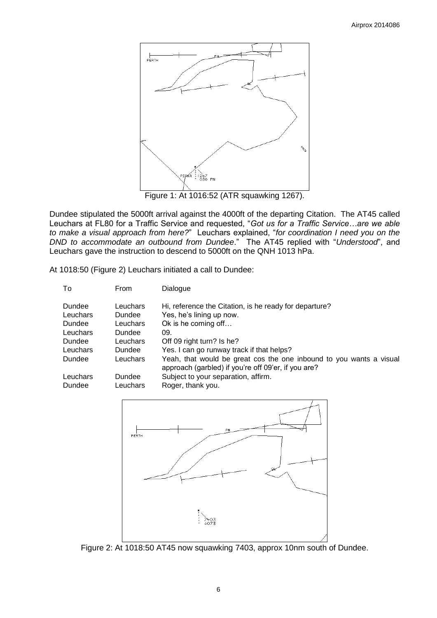

Dundee stipulated the 5000ft arrival against the 4000ft of the departing Citation. The AT45 called Leuchars at FL80 for a Traffic Service and requested, "*Got us for a Traffic Service…are we able to make a visual approach from here?*" Leuchars explained, "*for coordination I need you on the DND to accommodate an outbound from Dundee*." The AT45 replied with "*Understood*", and Leuchars gave the instruction to descend to 5000ft on the QNH 1013 hPa.

At 1018:50 (Figure 2) Leuchars initiated a call to Dundee:

To From Dialogue

| .        | .        | Dialuut                                                                                                                    |
|----------|----------|----------------------------------------------------------------------------------------------------------------------------|
| Dundee   | Leuchars | Hi, reference the Citation, is he ready for departure?                                                                     |
| Leuchars | Dundee   | Yes, he's lining up now.                                                                                                   |
| Dundee   | Leuchars | Ok is he coming off                                                                                                        |
| Leuchars | Dundee   | 09.                                                                                                                        |
| Dundee   | Leuchars | Off 09 right turn? Is he?                                                                                                  |
| Leuchars | Dundee   | Yes. I can go runway track if that helps?                                                                                  |
| Dundee   | Leuchars | Yeah, that would be great cos the one inbound to you wants a visual<br>approach (garbled) if you're off 09'er, if you are? |
| Leuchars | Dundee   | Subject to your separation, affirm.                                                                                        |
| Dundee   | Leuchars | Roger, thank you.                                                                                                          |
|          |          |                                                                                                                            |



Figure 2: At 1018:50 AT45 now squawking 7403, approx 10nm south of Dundee.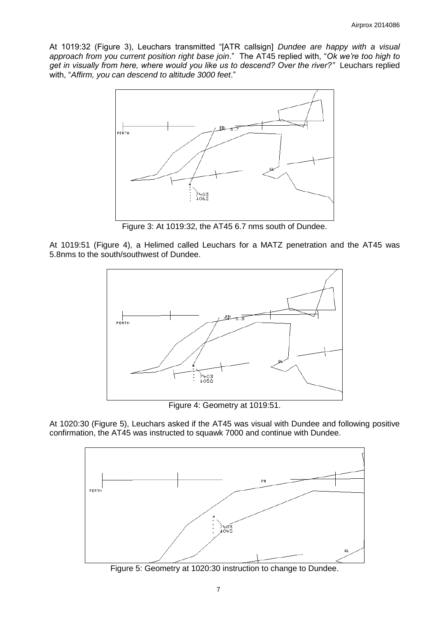At 1019:32 (Figure 3), Leuchars transmitted "[ATR callsign] *Dundee are happy with a visual approach from you current position right base join*." The AT45 replied with, "*Ok we're too high to get in visually from here, where would you like us to descend? Over the river?"* Leuchars replied with, "*Affirm, you can descend to altitude 3000 feet*."



Figure 3: At 1019:32, the AT45 6.7 nms south of Dundee.

At 1019:51 (Figure 4), a Helimed called Leuchars for a MATZ penetration and the AT45 was 5.8nms to the south/southwest of Dundee.



Figure 4: Geometry at 1019:51.

At 1020:30 (Figure 5), Leuchars asked if the AT45 was visual with Dundee and following positive confirmation, the AT45 was instructed to squawk 7000 and continue with Dundee.



Figure 5: Geometry at 1020:30 instruction to change to Dundee.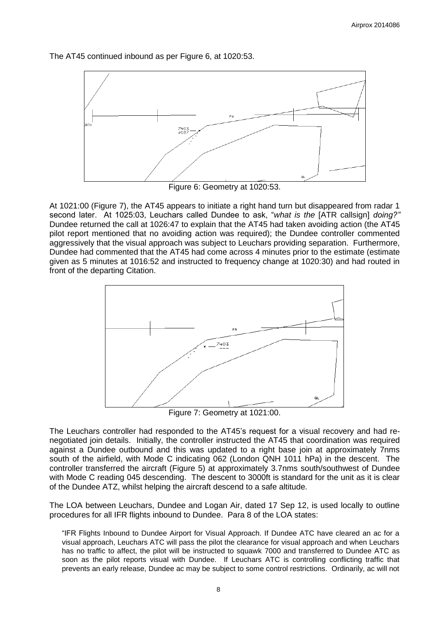

The AT45 continued inbound as per Figure 6, at 1020:53.

Figure 6: Geometry at 1020:53.

At 1021:00 (Figure 7), the AT45 appears to initiate a right hand turn but disappeared from radar 1 second later. At 1025:03, Leuchars called Dundee to ask, "*what is the* [ATR callsign] *doing?"*  Dundee returned the call at 1026:47 to explain that the AT45 had taken avoiding action (the AT45 pilot report mentioned that no avoiding action was required); the Dundee controller commented aggressively that the visual approach was subject to Leuchars providing separation. Furthermore, Dundee had commented that the AT45 had come across 4 minutes prior to the estimate (estimate given as 5 minutes at 1016:52 and instructed to frequency change at 1020:30) and had routed in front of the departing Citation.



Figure 7: Geometry at 1021:00.

The Leuchars controller had responded to the AT45's request for a visual recovery and had renegotiated join details. Initially, the controller instructed the AT45 that coordination was required against a Dundee outbound and this was updated to a right base join at approximately 7nms south of the airfield, with Mode C indicating 062 (London QNH 1011 hPa) in the descent. The controller transferred the aircraft (Figure 5) at approximately 3.7nms south/southwest of Dundee with Mode C reading 045 descending. The descent to 3000ft is standard for the unit as it is clear of the Dundee ATZ, whilst helping the aircraft descend to a safe altitude.

The LOA between Leuchars, Dundee and Logan Air, dated 17 Sep 12, is used locally to outline procedures for all IFR flights inbound to Dundee. Para 8 of the LOA states:

"IFR Flights Inbound to Dundee Airport for Visual Approach. If Dundee ATC have cleared an ac for a visual approach, Leuchars ATC will pass the pilot the clearance for visual approach and when Leuchars has no traffic to affect, the pilot will be instructed to squawk 7000 and transferred to Dundee ATC as soon as the pilot reports visual with Dundee. If Leuchars ATC is controlling conflicting traffic that prevents an early release, Dundee ac may be subject to some control restrictions. Ordinarily, ac will not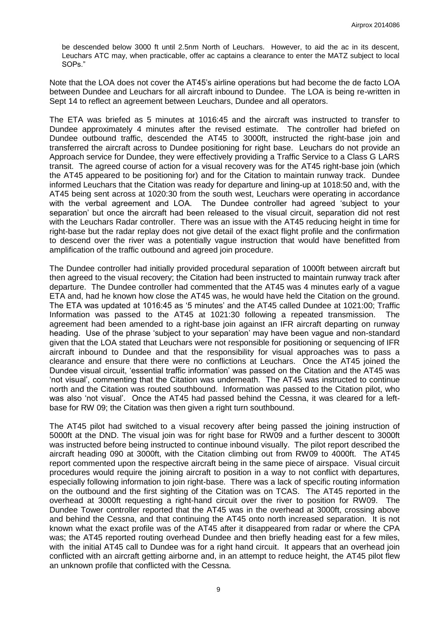be descended below 3000 ft until 2.5nm North of Leuchars. However, to aid the ac in its descent, Leuchars ATC may, when practicable, offer ac captains a clearance to enter the MATZ subject to local SOPs."

Note that the LOA does not cover the AT45's airline operations but had become the de facto LOA between Dundee and Leuchars for all aircraft inbound to Dundee. The LOA is being re-written in Sept 14 to reflect an agreement between Leuchars, Dundee and all operators.

The ETA was briefed as 5 minutes at 1016:45 and the aircraft was instructed to transfer to Dundee approximately 4 minutes after the revised estimate. The controller had briefed on Dundee outbound traffic, descended the AT45 to 3000ft, instructed the right-base join and transferred the aircraft across to Dundee positioning for right base. Leuchars do not provide an Approach service for Dundee, they were effectively providing a Traffic Service to a Class G LARS transit. The agreed course of action for a visual recovery was for the AT45 right-base join (which the AT45 appeared to be positioning for) and for the Citation to maintain runway track. Dundee informed Leuchars that the Citation was ready for departure and lining-up at 1018:50 and, with the AT45 being sent across at 1020:30 from the south west, Leuchars were operating in accordance with the verbal agreement and LOA. The Dundee controller had agreed 'subject to your separation' but once the aircraft had been released to the visual circuit, separation did not rest with the Leuchars Radar controller. There was an issue with the AT45 reducing height in time for right-base but the radar replay does not give detail of the exact flight profile and the confirmation to descend over the river was a potentially vague instruction that would have benefitted from amplification of the traffic outbound and agreed join procedure.

The Dundee controller had initially provided procedural separation of 1000ft between aircraft but then agreed to the visual recovery; the Citation had been instructed to maintain runway track after departure. The Dundee controller had commented that the AT45 was 4 minutes early of a vague ETA and, had he known how close the AT45 was, he would have held the Citation on the ground. The ETA was updated at 1016:45 as '5 minutes' and the AT45 called Dundee at 1021:00; Traffic Information was passed to the AT45 at 1021:30 following a repeated transmission. The agreement had been amended to a right-base join against an IFR aircraft departing on runway heading. Use of the phrase 'subject to your separation' may have been vague and non-standard given that the LOA stated that Leuchars were not responsible for positioning or sequencing of IFR aircraft inbound to Dundee and that the responsibility for visual approaches was to pass a clearance and ensure that there were no conflictions at Leuchars. Once the AT45 joined the Dundee visual circuit, 'essential traffic information' was passed on the Citation and the AT45 was 'not visual', commenting that the Citation was underneath. The AT45 was instructed to continue north and the Citation was routed southbound. Information was passed to the Citation pilot, who was also 'not visual'. Once the AT45 had passed behind the Cessna, it was cleared for a leftbase for RW 09; the Citation was then given a right turn southbound.

The AT45 pilot had switched to a visual recovery after being passed the joining instruction of 5000ft at the DND. The visual join was for right base for RW09 and a further descent to 3000ft was instructed before being instructed to continue inbound visually. The pilot report described the aircraft heading 090 at 3000ft, with the Citation climbing out from RW09 to 4000ft. The AT45 report commented upon the respective aircraft being in the same piece of airspace. Visual circuit procedures would require the joining aircraft to position in a way to not conflict with departures, especially following information to join right-base. There was a lack of specific routing information on the outbound and the first sighting of the Citation was on TCAS. The AT45 reported in the overhead at 3000ft requesting a right-hand circuit over the river to position for RW09. The Dundee Tower controller reported that the AT45 was in the overhead at 3000ft, crossing above and behind the Cessna, and that continuing the AT45 onto north increased separation. It is not known what the exact profile was of the AT45 after it disappeared from radar or where the CPA was; the AT45 reported routing overhead Dundee and then briefly heading east for a few miles, with the initial AT45 call to Dundee was for a right hand circuit. It appears that an overhead join conflicted with an aircraft getting airborne and, in an attempt to reduce height, the AT45 pilot flew an unknown profile that conflicted with the Cessna.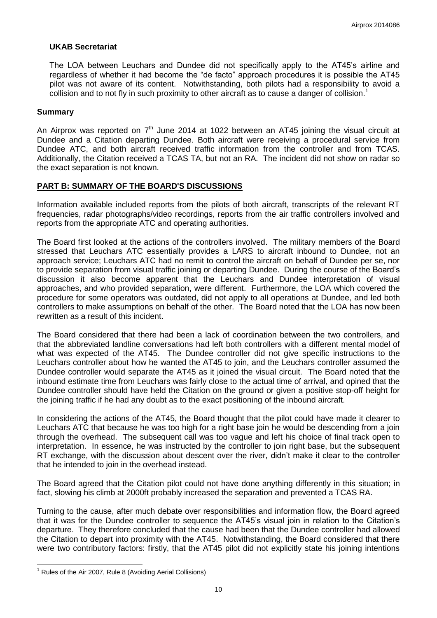### **UKAB Secretariat**

The LOA between Leuchars and Dundee did not specifically apply to the AT45's airline and regardless of whether it had become the "de facto" approach procedures it is possible the AT45 pilot was not aware of its content. Notwithstanding, both pilots had a responsibility to avoid a collision and to not fly in such proximity to other aircraft as to cause a danger of collision.<sup>1</sup>

# **Summary**

An Airprox was reported on  $7<sup>th</sup>$  June 2014 at 1022 between an AT45 joining the visual circuit at Dundee and a Citation departing Dundee. Both aircraft were receiving a procedural service from Dundee ATC, and both aircraft received traffic information from the controller and from TCAS. Additionally, the Citation received a TCAS TA, but not an RA. The incident did not show on radar so the exact separation is not known.

# **PART B: SUMMARY OF THE BOARD'S DISCUSSIONS**

Information available included reports from the pilots of both aircraft, transcripts of the relevant RT frequencies, radar photographs/video recordings, reports from the air traffic controllers involved and reports from the appropriate ATC and operating authorities.

The Board first looked at the actions of the controllers involved. The military members of the Board stressed that Leuchars ATC essentially provides a LARS to aircraft inbound to Dundee, not an approach service; Leuchars ATC had no remit to control the aircraft on behalf of Dundee per se, nor to provide separation from visual traffic joining or departing Dundee. During the course of the Board's discussion it also become apparent that the Leuchars and Dundee interpretation of visual approaches, and who provided separation, were different. Furthermore, the LOA which covered the procedure for some operators was outdated, did not apply to all operations at Dundee, and led both controllers to make assumptions on behalf of the other. The Board noted that the LOA has now been rewritten as a result of this incident.

The Board considered that there had been a lack of coordination between the two controllers, and that the abbreviated landline conversations had left both controllers with a different mental model of what was expected of the AT45. The Dundee controller did not give specific instructions to the Leuchars controller about how he wanted the AT45 to join, and the Leuchars controller assumed the Dundee controller would separate the AT45 as it joined the visual circuit. The Board noted that the inbound estimate time from Leuchars was fairly close to the actual time of arrival, and opined that the Dundee controller should have held the Citation on the ground or given a positive stop-off height for the joining traffic if he had any doubt as to the exact positioning of the inbound aircraft.

In considering the actions of the AT45, the Board thought that the pilot could have made it clearer to Leuchars ATC that because he was too high for a right base join he would be descending from a join through the overhead. The subsequent call was too vague and left his choice of final track open to interpretation. In essence, he was instructed by the controller to join right base, but the subsequent RT exchange, with the discussion about descent over the river, didn't make it clear to the controller that he intended to join in the overhead instead.

The Board agreed that the Citation pilot could not have done anything differently in this situation; in fact, slowing his climb at 2000ft probably increased the separation and prevented a TCAS RA.

Turning to the cause, after much debate over responsibilities and information flow, the Board agreed that it was for the Dundee controller to sequence the AT45's visual join in relation to the Citation's departure. They therefore concluded that the cause had been that the Dundee controller had allowed the Citation to depart into proximity with the AT45. Notwithstanding, the Board considered that there were two contributory factors: firstly, that the AT45 pilot did not explicitly state his joining intentions

 $\overline{a}$ 

 $1$  Rules of the Air 2007, Rule 8 (Avoiding Aerial Collisions)